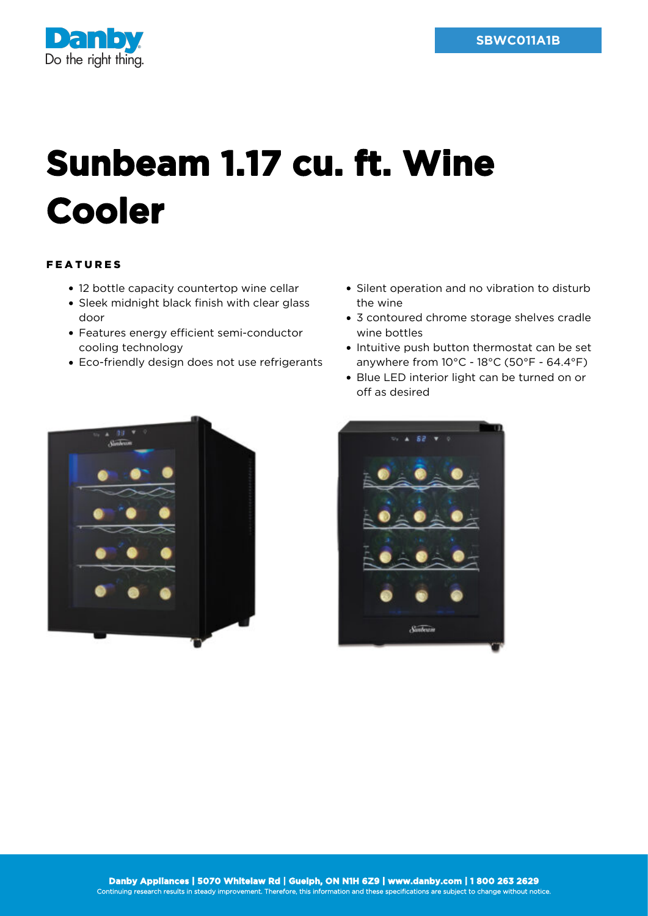

## **Sunbeam 1.17 cu. ft. Wine Cooler**

## FEATURES

- 12 bottle capacity countertop wine cellar
- Sleek midnight black finish with clear glass door
- Features energy efficient semi-conductor cooling technology
- Eco-friendly design does not use refrigerants
- Silent operation and no vibration to disturb the wine
- 3 contoured chrome storage shelves cradle wine bottles
- Intuitive push button thermostat can be set anywhere from 10°C - 18°C (50°F - 64.4°F)
- Blue LED interior light can be turned on or off as desired